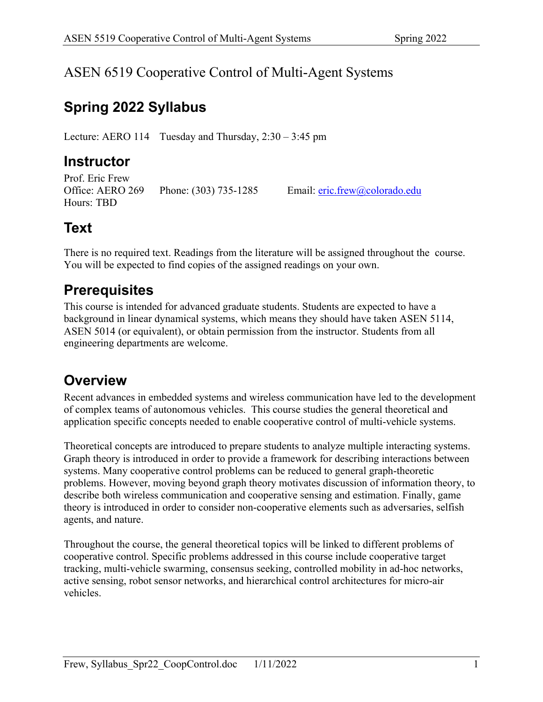#### ASEN 6519 Cooperative Control of Multi-Agent Systems

## **Spring 2022 Syllabus**

Lecture: AERO 114 Tuesday and Thursday, 2:30 – 3:45 pm

### **Instructor**

Prof. Eric Frew Office: AERO 269 Phone: (303) 735-1285 Email: eric.frew@colorado.edu Hours: TBD

## **Text**

There is no required text. Readings from the literature will be assigned throughout the course. You will be expected to find copies of the assigned readings on your own.

### **Prerequisites**

This course is intended for advanced graduate students. Students are expected to have a background in linear dynamical systems, which means they should have taken ASEN 5114, ASEN 5014 (or equivalent), or obtain permission from the instructor. Students from all engineering departments are welcome.

## **Overview**

Recent advances in embedded systems and wireless communication have led to the development of complex teams of autonomous vehicles. This course studies the general theoretical and application specific concepts needed to enable cooperative control of multi-vehicle systems.

Theoretical concepts are introduced to prepare students to analyze multiple interacting systems. Graph theory is introduced in order to provide a framework for describing interactions between systems. Many cooperative control problems can be reduced to general graph-theoretic problems. However, moving beyond graph theory motivates discussion of information theory, to describe both wireless communication and cooperative sensing and estimation. Finally, game theory is introduced in order to consider non-cooperative elements such as adversaries, selfish agents, and nature.

Throughout the course, the general theoretical topics will be linked to different problems of cooperative control. Specific problems addressed in this course include cooperative target tracking, multi-vehicle swarming, consensus seeking, controlled mobility in ad-hoc networks, active sensing, robot sensor networks, and hierarchical control architectures for micro-air vehicles.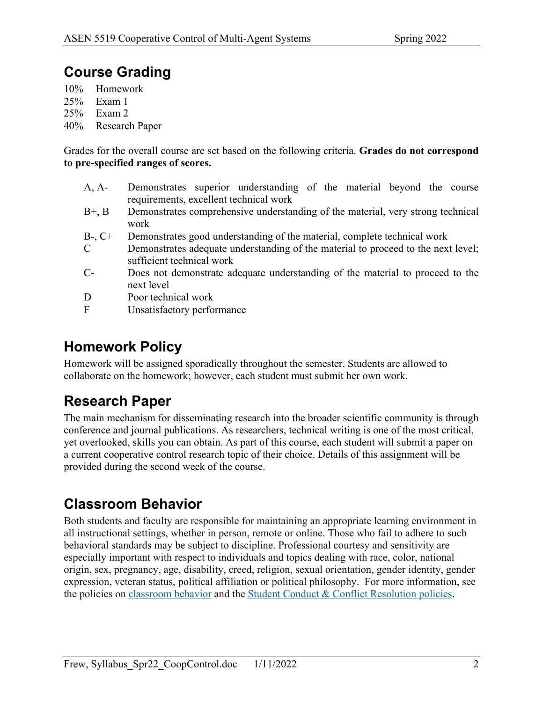### **Course Grading**

10% Homework

- 25% Exam 1
- 25% Exam 2
- 40% Research Paper

Grades for the overall course are set based on the following criteria. **Grades do not correspond to pre-specified ranges of scores.**

- A, A- Demonstrates superior understanding of the material beyond the course requirements, excellent technical work
- B+, B Demonstrates comprehensive understanding of the material, very strong technical work
- B-, C+ Demonstrates good understanding of the material, complete technical work
- C Demonstrates adequate understanding of the material to proceed to the next level; sufficient technical work
- C- Does not demonstrate adequate understanding of the material to proceed to the next level
- D Poor technical work
- F Unsatisfactory performance

### **Homework Policy**

Homework will be assigned sporadically throughout the semester. Students are allowed to collaborate on the homework; however, each student must submit her own work.

## **Research Paper**

The main mechanism for disseminating research into the broader scientific community is through conference and journal publications. As researchers, technical writing is one of the most critical, yet overlooked, skills you can obtain. As part of this course, each student will submit a paper on a current cooperative control research topic of their choice. Details of this assignment will be provided during the second week of the course.

#### **Classroom Behavior**

Both students and faculty are responsible for maintaining an appropriate learning environment in all instructional settings, whether in person, remote or online. Those who fail to adhere to such behavioral standards may be subject to discipline. Professional courtesy and sensitivity are especially important with respect to individuals and topics dealing with race, color, national origin, sex, pregnancy, age, disability, creed, religion, sexual orientation, gender identity, gender expression, veteran status, political affiliation or political philosophy. For more information, see the policies on classroom behavior and the Student Conduct & Conflict Resolution policies.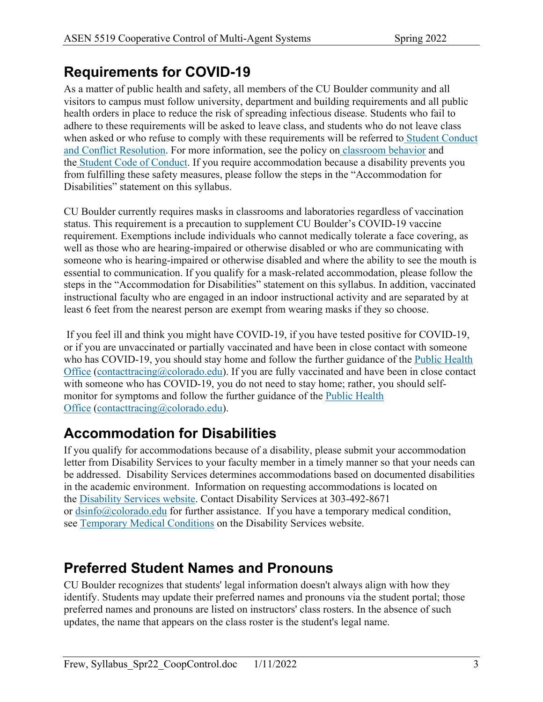## **Requirements for COVID-19**

As a matter of public health and safety, all members of the CU Boulder community and all visitors to campus must follow university, department and building requirements and all public health orders in place to reduce the risk of spreading infectious disease. Students who fail to adhere to these requirements will be asked to leave class, and students who do not leave class when asked or who refuse to comply with these requirements will be referred to Student Conduct and Conflict Resolution. For more information, see the policy on classroom behavior and the Student Code of Conduct. If you require accommodation because a disability prevents you from fulfilling these safety measures, please follow the steps in the "Accommodation for Disabilities" statement on this syllabus.

CU Boulder currently requires masks in classrooms and laboratories regardless of vaccination status. This requirement is a precaution to supplement CU Boulder's COVID-19 vaccine requirement. Exemptions include individuals who cannot medically tolerate a face covering, as well as those who are hearing-impaired or otherwise disabled or who are communicating with someone who is hearing-impaired or otherwise disabled and where the ability to see the mouth is essential to communication. If you qualify for a mask-related accommodation, please follow the steps in the "Accommodation for Disabilities" statement on this syllabus. In addition, vaccinated instructional faculty who are engaged in an indoor instructional activity and are separated by at least 6 feet from the nearest person are exempt from wearing masks if they so choose.

If you feel ill and think you might have COVID-19, if you have tested positive for COVID-19, or if you are unvaccinated or partially vaccinated and have been in close contact with someone who has COVID-19, you should stay home and follow the further guidance of the Public Health Office (contacttracing $@$ colorado.edu). If you are fully vaccinated and have been in close contact with someone who has COVID-19, you do not need to stay home; rather, you should selfmonitor for symptoms and follow the further guidance of the Public Health Office (contacttracing@colorado.edu).

## **Accommodation for Disabilities**

If you qualify for accommodations because of a disability, please submit your accommodation letter from Disability Services to your faculty member in a timely manner so that your needs can be addressed. Disability Services determines accommodations based on documented disabilities in the academic environment. Information on requesting accommodations is located on the Disability Services website. Contact Disability Services at 303-492-8671 or  $\frac{d\sin f_0(a)}{2\cosh(\cosh(a))}$  for further assistance. If you have a temporary medical condition, see Temporary Medical Conditions on the Disability Services website.

## **Preferred Student Names and Pronouns**

CU Boulder recognizes that students' legal information doesn't always align with how they identify. Students may update their preferred names and pronouns via the student portal; those preferred names and pronouns are listed on instructors' class rosters. In the absence of such updates, the name that appears on the class roster is the student's legal name.